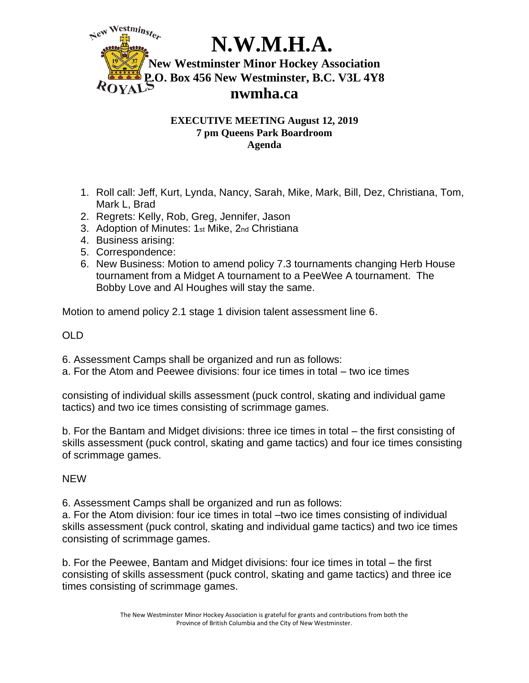

## **EXECUTIVE MEETING August 12, 2019 7 pm Queens Park Boardroom Agenda**

- 1. Roll call: Jeff, Kurt, Lynda, Nancy, Sarah, Mike, Mark, Bill, Dez, Christiana, Tom, Mark L, Brad
- 2. Regrets: Kelly, Rob, Greg, Jennifer, Jason
- 3. Adoption of Minutes: 1st Mike, 2nd Christiana
- 4. Business arising:
- 5. Correspondence:
- 6. New Business: Motion to amend policy 7.3 tournaments changing Herb House tournament from a Midget A tournament to a PeeWee A tournament. The Bobby Love and Al Houghes will stay the same.

Motion to amend policy 2.1 stage 1 division talent assessment line 6.

OLD

6. Assessment Camps shall be organized and run as follows:

a. For the Atom and Peewee divisions: four ice times in total – two ice times

consisting of individual skills assessment (puck control, skating and individual game tactics) and two ice times consisting of scrimmage games.

b. For the Bantam and Midget divisions: three ice times in total – the first consisting of skills assessment (puck control, skating and game tactics) and four ice times consisting of scrimmage games.

NEW

6. Assessment Camps shall be organized and run as follows:

a. For the Atom division: four ice times in total –two ice times consisting of individual skills assessment (puck control, skating and individual game tactics) and two ice times consisting of scrimmage games.

b. For the Peewee, Bantam and Midget divisions: four ice times in total – the first consisting of skills assessment (puck control, skating and game tactics) and three ice times consisting of scrimmage games.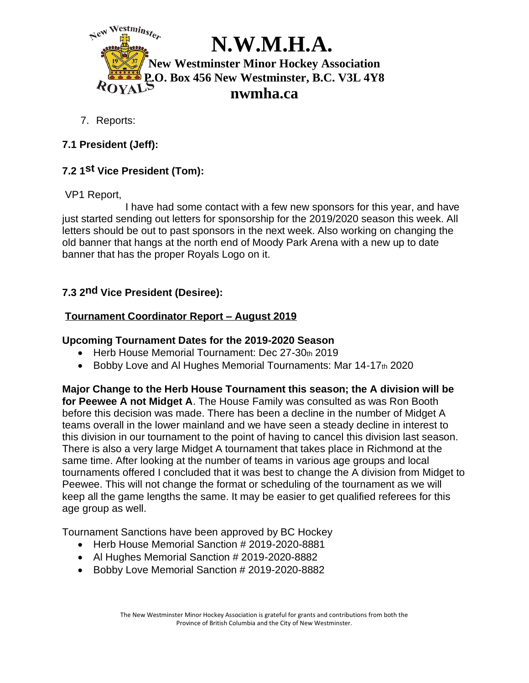

7. Reports:

# **7.1 President (Jeff):**

# **7.2 1st Vice President (Tom):**

## VP1 Report,

 I have had some contact with a few new sponsors for this year, and have just started sending out letters for sponsorship for the 2019/2020 season this week. All letters should be out to past sponsors in the next week. Also working on changing the old banner that hangs at the north end of Moody Park Arena with a new up to date banner that has the proper Royals Logo on it.

# **7.3 2nd Vice President (Desiree):**

# **Tournament Coordinator Report – August 2019**

#### **Upcoming Tournament Dates for the 2019-2020 Season**

- Herb House Memorial Tournament: Dec 27-30th 2019
- Bobby Love and AI Hughes Memorial Tournaments: Mar 14-17th 2020

**Major Change to the Herb House Tournament this season; the A division will be for Peewee A not Midget A**. The House Family was consulted as was Ron Booth before this decision was made. There has been a decline in the number of Midget A teams overall in the lower mainland and we have seen a steady decline in interest to this division in our tournament to the point of having to cancel this division last season. There is also a very large Midget A tournament that takes place in Richmond at the same time. After looking at the number of teams in various age groups and local tournaments offered I concluded that it was best to change the A division from Midget to Peewee. This will not change the format or scheduling of the tournament as we will keep all the game lengths the same. It may be easier to get qualified referees for this age group as well.

Tournament Sanctions have been approved by BC Hockey

- Herb House Memorial Sanction # 2019-2020-8881
- Al Hughes Memorial Sanction # 2019-2020-8882
- Bobby Love Memorial Sanction # 2019-2020-8882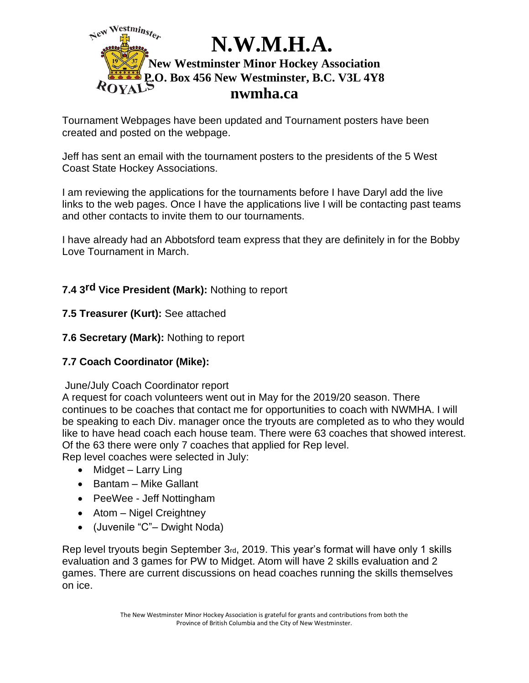

Tournament Webpages have been updated and Tournament posters have been created and posted on the webpage.

Jeff has sent an email with the tournament posters to the presidents of the 5 West Coast State Hockey Associations.

I am reviewing the applications for the tournaments before I have Daryl add the live links to the web pages. Once I have the applications live I will be contacting past teams and other contacts to invite them to our tournaments.

I have already had an Abbotsford team express that they are definitely in for the Bobby Love Tournament in March.

# **7.4 3rd Vice President (Mark):** Nothing to report

# **7.5 Treasurer (Kurt):** See attached

## **7.6 Secretary (Mark):** Nothing to report

# **7.7 Coach Coordinator (Mike):**

#### June/July Coach Coordinator report

A request for coach volunteers went out in May for the 2019/20 season. There continues to be coaches that contact me for opportunities to coach with NWMHA. I will be speaking to each Div. manager once the tryouts are completed as to who they would like to have head coach each house team. There were 63 coaches that showed interest. Of the 63 there were only 7 coaches that applied for Rep level.

Rep level coaches were selected in July:

- Midget Larry Ling
- Bantam Mike Gallant
- PeeWee Jeff Nottingham
- Atom Nigel Creightney
- (Juvenile "C"– Dwight Noda)

Rep level tryouts begin September 3rd, 2019. This year's format will have only 1 skills evaluation and 3 games for PW to Midget. Atom will have 2 skills evaluation and 2 games. There are current discussions on head coaches running the skills themselves on ice.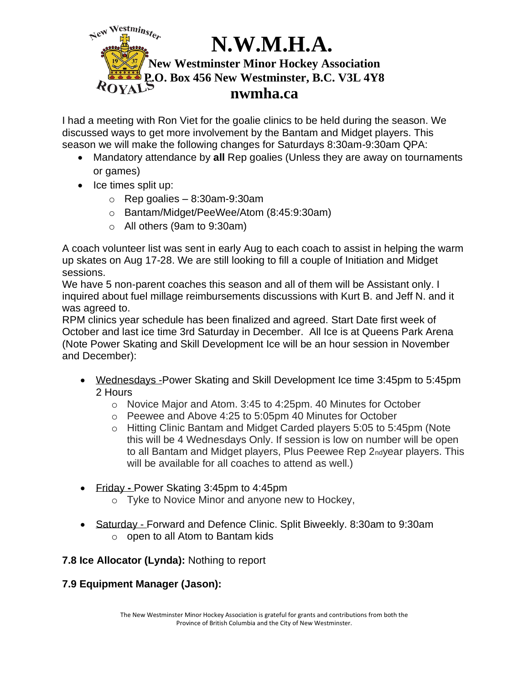

I had a meeting with Ron Viet for the goalie clinics to be held during the season. We discussed ways to get more involvement by the Bantam and Midget players. This season we will make the following changes for Saturdays 8:30am-9:30am QPA:

- Mandatory attendance by **all** Rep goalies (Unless they are away on tournaments or games)
- Ice times split up:
	- $\circ$  Rep goalies 8:30am-9:30am
	- o Bantam/Midget/PeeWee/Atom (8:45:9:30am)
	- o All others (9am to 9:30am)

A coach volunteer list was sent in early Aug to each coach to assist in helping the warm up skates on Aug 17-28. We are still looking to fill a couple of Initiation and Midget sessions.

We have 5 non-parent coaches this season and all of them will be Assistant only. I inquired about fuel millage reimbursements discussions with Kurt B. and Jeff N. and it was agreed to.

RPM clinics year schedule has been finalized and agreed. Start Date first week of October and last ice time 3rd Saturday in December. All Ice is at Queens Park Arena (Note Power Skating and Skill Development Ice will be an hour session in November and December):

- Wednesdays -Power Skating and Skill Development Ice time 3:45pm to 5:45pm 2 Hours
	- o Novice Major and Atom. 3:45 to 4:25pm. 40 Minutes for October
	- o Peewee and Above 4:25 to 5:05pm 40 Minutes for October
	- o Hitting Clinic Bantam and Midget Carded players 5:05 to 5:45pm (Note this will be 4 Wednesdays Only. If session is low on number will be open to all Bantam and Midget players, Plus Peewee Rep 2ndyear players. This will be available for all coaches to attend as well.)
- Friday **-** Power Skating 3:45pm to 4:45pm
	- o Tyke to Novice Minor and anyone new to Hockey,
- Saturday Forward and Defence Clinic. Split Biweekly. 8:30am to 9:30am  $\circ$  open to all Atom to Bantam kids

# **7.8 Ice Allocator (Lynda):** Nothing to report

# **7.9 Equipment Manager (Jason):**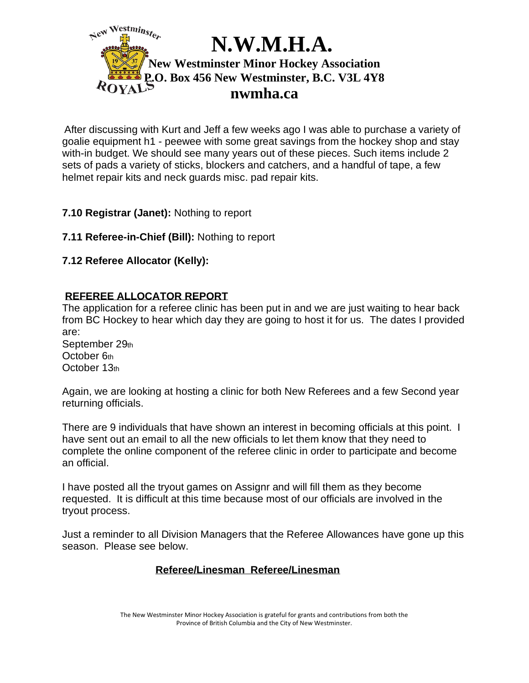

After discussing with Kurt and Jeff a few weeks ago I was able to purchase a variety of goalie equipment h1 - peewee with some great savings from the hockey shop and stay with-in budget. We should see many years out of these pieces. Such items include 2 sets of pads a variety of sticks, blockers and catchers, and a handful of tape, a few helmet repair kits and neck guards misc. pad repair kits.

# **7.10 Registrar (Janet):** Nothing to report

**7.11 Referee-in-Chief (Bill):** Nothing to report

## **7.12 Referee Allocator (Kelly):**

## **REFEREE ALLOCATOR REPORT**

The application for a referee clinic has been put in and we are just waiting to hear back from BC Hockey to hear which day they are going to host it for us. The dates I provided are:

September 29th October 6th October 13th

Again, we are looking at hosting a clinic for both New Referees and a few Second year returning officials.

There are 9 individuals that have shown an interest in becoming officials at this point. I have sent out an email to all the new officials to let them know that they need to complete the online component of the referee clinic in order to participate and become an official.

I have posted all the tryout games on Assignr and will fill them as they become requested. It is difficult at this time because most of our officials are involved in the tryout process.

Just a reminder to all Division Managers that the Referee Allowances have gone up this season. Please see below.

#### **Referee/Linesman Referee/Linesman**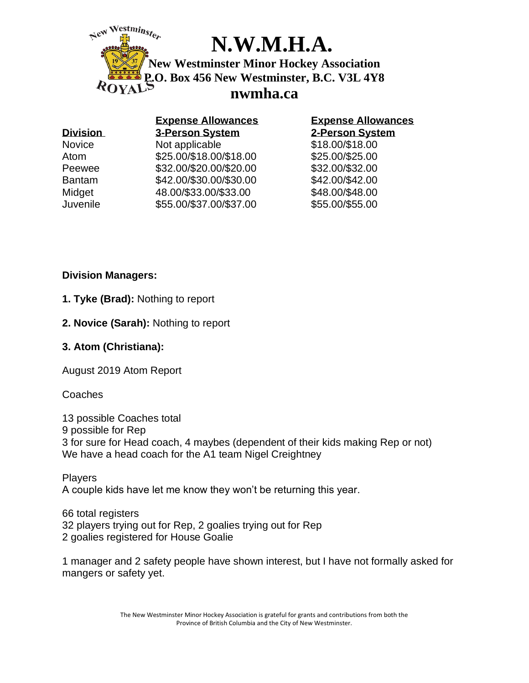

# **N.W.M.H.A.**

**New Westminster Minor Hockey Association P.O. Box 456 New Westminster, B.C. V3L 4Y8 nwmha.ca**

| <b>Division</b> | <b>Expense Allowances</b><br><b>3-Person System</b> | <b>Expense Allowances</b><br>2-Person System |
|-----------------|-----------------------------------------------------|----------------------------------------------|
|                 |                                                     |                                              |
| Atom            | \$25.00/\$18.00/\$18.00                             | \$25.00/\$25.00                              |
| Peewee          | \$32.00/\$20.00/\$20.00                             | \$32.00/\$32.00                              |
| <b>Bantam</b>   | \$42.00/\$30.00/\$30.00                             | \$42.00/\$42.00                              |
| Midget          | 48.00/\$33.00/\$33.00                               | \$48.00/\$48.00                              |
| Juvenile        | \$55.00/\$37.00/\$37.00                             | \$55.00/\$55.00                              |

## **Division Managers:**

- **1. Tyke (Brad):** Nothing to report
- **2. Novice (Sarah):** Nothing to report

# **3. Atom (Christiana):**

August 2019 Atom Report

**Coaches** 

13 possible Coaches total 9 possible for Rep 3 for sure for Head coach, 4 maybes (dependent of their kids making Rep or not) We have a head coach for the A1 team Nigel Creightney

Players A couple kids have let me know they won't be returning this year.

66 total registers 32 players trying out for Rep, 2 goalies trying out for Rep 2 goalies registered for House Goalie

1 manager and 2 safety people have shown interest, but I have not formally asked for mangers or safety yet.